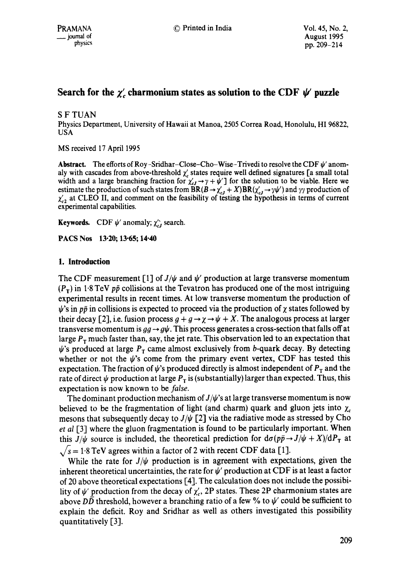# Search for the  $\chi'$  charmonium states as solution to the CDF  $\psi$  puzzle

### S F TUAN

Physics Department, University of Hawaii at Manna, 2505 Correa Road, Honolulu, HI 96822, USA

MS received 17 April 1995

**Abstract.** The efforts of Roy-Sridhar-Close-Cho-Wise-Trivedi to resolve the CDF  $\psi'$  anomaly with cascades from above-threshold  $\chi'$  states require well defined signatures [a small total width and a large branching fraction for  $\chi'_{cJ} \to \gamma + \psi'$  for the solution to be viable. Here we estimate the production of such states from BR( $B \to \chi'_{cJ} + X$ )BR( $\chi'_{cJ} \to \gamma \psi'$ ) and  $\gamma \gamma$  production of  $\chi'_{c2}$  at CLEO II, and comment on the feasibility of testing the hypothesis in terms of current experimental capabilities.

**Keywords.** CDF  $\psi'$  anomaly;  $\chi'_{cJ}$  search.

PACS Nos 13.20; 13.65; 14.40

## **1. Introduction**

The CDF measurement [1] of  $J/\psi$  and  $\psi'$  production at large transverse momentum  $(P_T)$  in 1.8 TeV pp collisions at the Tevatron has produced one of the most intriguing experimental results in recent times. At low transverse momentum the production of  $\psi$ 's in p $\bar{p}$  in collisions is expected to proceed via the production of  $\chi$  states followed by their decay [2], i.e. fusion process  $g + g \rightarrow \chi \rightarrow \psi + X$ . The analogous process at larger transverse momentum is  $gg \to g\psi$ . This process generates a cross-section that falls off at large  $P<sub>T</sub>$  much faster than, say, the jet rate. This observation led to an expectation that  $\psi$ 's produced at large  $P<sub>T</sub>$  came almost exclusively from b-quark decay. By detecting whether or not the  $\psi$ 's come from the primary event vertex, CDF has tested this expectation. The fraction of  $\psi$ 's produced directly is almost independent of  $P<sub>T</sub>$  and the rate of direct  $\psi$  production at large  $P<sub>T</sub>$  is (substantially) larger than expected. Thus, this expectation is now known to be *false.* 

The dominant production mechanism of  $J/\psi$ 's at large transverse momentum is now believed to be the fragmentation of light (and charm) quark and gluon jets into  $\chi_c$ mesons that subsequently decay to  $J/\psi$  [2] via the radiative mode as stressed by Cho *et al* [3] where the gluon fragmentation is found to be particularly important. When this  $J/\psi$  source is included, the theoretical prediction for  $d\sigma(p\bar{p} \rightarrow J/\psi + X)/dP_{\rm T}$  at  $\sqrt{s} = 1.8$  TeV agrees within a factor of 2 with recent CDF data [1].

While the rate for  $J/\psi$  production is in agreement with expectations, given the inherent theoretical uncertainties, the rate for  $\psi'$  production at CDF is at least a factor of 20 above theoretical expectations [4]. The calculation does not include the possibility of  $\psi'$  production from the decay of  $\chi'_{c}$ , 2P states. These 2P charmonium states are above  $D\overline{D}$  threshold, however a branching ratio of a few % to  $\psi'$  could be sufficient to explain the deficit. Roy and Sridhar as well as others investigated this possibility quantitatively [3].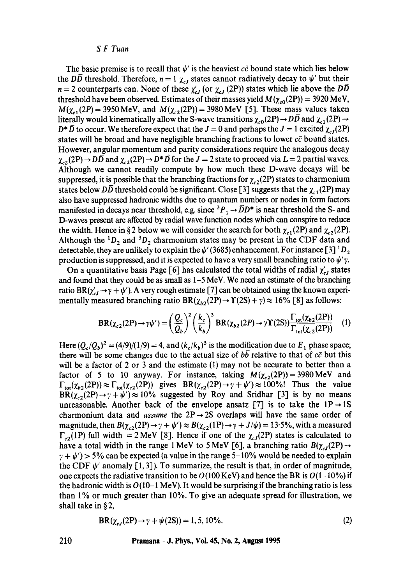#### *S F Tuan*

The basic premise is to recall that  $\psi'$  is the heaviest  $c\bar{c}$  bound state which lies below the DD threshold. Therefore,  $n = 1 \chi_{cJ}$  states cannot radiatively decay to  $\psi'$  but their  $n = 2$  counterparts can. None of these  $\chi'_{cJ}$  (or  $\chi_{cJ}$  (2P)) states which lie above the  $D\overline{D}$ threshold have been observed. Estimates of their masses yield  $M(\chi_{c0}(2P)) = 3920$  MeV,  $M(\chi_{c1}(2P) = 3950 \text{ MeV}, \text{ and } M(\chi_{c2}(2P)) = 3980 \text{ MeV}$  [5]. These mass values taken literally would kinematically allow the S-wave transitions  $\chi_{c0}(2P) \rightarrow D\overline{D}$  and  $\chi_{c1}(2P) \rightarrow$  $D^* \overline{D}$  to occur. We therefore expect that the  $J = 0$  and perhaps the  $J = 1$  excited  $\chi_{cJ}(2P)$ states will be broad and have negligible branching fractions to lower  $c\bar{c}$  bound states. However, angular momentum and parity considerations require the analogous decay  $\chi_{c2}(2P) \rightarrow D\overline{D}$  and  $\chi_{c2}(2P) \rightarrow D^* \overline{D}$  for the  $J = 2$  state to proceed via  $L = 2$  partial waves. Although we cannot readily compute by how much these D-wave decays will be suppressed, it is possible that the branching fractions for  $\chi_{c2}(2P)$  states to charmonium states below DD threshold could be significant. Close [3] suggests that the  $\chi_{c1}(2P)$  may also have suppressed hadronic widths due to quantum numbers or nodes in form factors manifested in decays near threshold, e.g. since  ${}^3P_1 \rightarrow \overline{D}D^*$  is near threshold the S- and D-waves present are affected by radial wave function nodes which can conspire to reduce the width. Hence in § 2 below we will consider the search for both  $\chi_{c1}(2P)$  and  $\chi_{c2}(2P)$ . Although the  ${}^{1}D_2$  and  ${}^{3}D_2$  charmonium states may be present in the CDF data and detectable, they are unlikely to explain the  $\psi'$  (3685) enhancement. For instance [3]  ${}^1D_2$ production is suppressed, and it is expected to have a very small branching ratio to  $\psi'$ .

On a quantitative basis Page [6] has calculated the total widths of radial  $\chi'_{cJ}$  states and found that they could be as small as 1-5 MeV. We need an estimate of the branching ratio BR( $\chi'_{cI} \rightarrow \gamma + \psi'$ ). A very rough estimate [7] can be obtained using the known experimentally measured branching ratio  $BR(\chi_{b2}(2P) \to \Upsilon(2S) + \gamma) \approx 16\%$  [8] as follows:

$$
BR(\chi_{c2}(2P) \to \gamma \psi') = \left(\frac{Q_c}{Q_b}\right)^2 \left(\frac{k_c}{k_b}\right)^3 BR(\chi_{b2}(2P) \to \gamma \Upsilon(2S)) \frac{\Gamma_{\text{tot}}(\chi_{b2}(2P))}{\Gamma_{\text{tot}}(\chi_{c2}(2P))} \tag{1}
$$

Here  $(Q_c/Q_b)^2 = (4/9)/(1/9) = 4$ , and  $(k_c/k_b)^3$  is the modification due to  $E_1$  phase space; there will be some changes due to the actual size of  $b\bar{b}$  relative to that of  $c\bar{c}$  but this will be a factor of 2 or 3 and the estimate (1) may not be accurate to better than a factor of 5 to 10 anyway. For instance, taking  $M(\chi_{c2}(2P)) = 3980 \text{ MeV}$  and  $\Gamma_{tot}(\chi_{b2}(2P)) \approx \Gamma_{tot}(\chi_{c2}(2P))$  gives  $BR(\chi_{c2}(2P) \to \gamma + \psi') \approx 100\%$ ! Thus the value  $BR(\chi_{c2}(2P) \rightarrow \gamma + \psi') \approx 10\%$  suggested by Roy and Sridhar [3] is by no means unreasonable. Another back of the envelope ansatz [7] is to take the  $1P \rightarrow 1S$ charmonium data and *assume* the  $2P \rightarrow 2S$  overlaps will have the same order of magnitude, then  $B(\chi_{c2}(2P) \to \gamma + \psi') \approx B(\chi_{c2}(1P) \to \gamma + J/\psi) = 13.5\%$ , with a measured  $\Gamma_{c2}(1P)$  full width = 2 MeV [8]. Hence if one of the  $\chi_{cI}(2P)$  states is calculated to have a total width in the range 1 MeV to 5 MeV [6], a branching ratio  $B(\chi_{c1}(2P) \rightarrow$  $\gamma + \psi'$  > 5% can be expected (a value in the range 5-10% would be needed to explain the CDF  $\psi'$  anomaly [1,3]). To summarize, the result is that, in order of magnitude, one expects the radiative transition to be  $O(100 \text{ KeV})$  and hence the BR is  $O(1-10\%)$  if the hadronic width is  $O(10-1 \text{ MeV})$ . It would be surprising if the branching ratio is less than 1% or much greater than 10%. To give an adequate spread for illustration, we shall take in § 2,

$$
BR(\chi_{cJ}(2P) \to \gamma + \psi(2S)) = 1, 5, 10\%.
$$
 (2)

#### **210 Pramana- J. Phys., Vol. 45, No. 2, August 1995**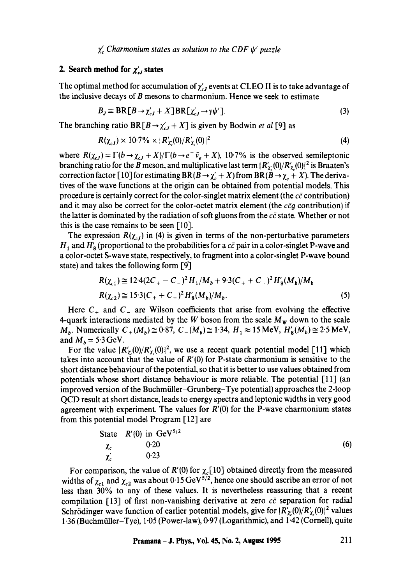$\chi'_{c}$  Charmonium states as solution to the CDF  $\psi'$  puzzle

### **2. Search method for**  $\chi'_{cl}$  **states**

The optimal method for accumulation of  $\chi'_{cJ}$  events at CLEO II is to take advantage of the inclusive decays of B mesons to charmonium. Hence we seek to estimate

$$
B_J \equiv \text{BR}[B \to \chi'_{cJ} + X] \text{BR}[\chi'_{cJ} \to \gamma \psi'].
$$
 (3)

The branching ratio BR  $[B \rightarrow \chi'_{cf} + X]$  is given by Bodwin *et al* [9] as

$$
R(\chi_{cJ}) \times 10.7\% \times |R'_{\chi_c}(0)/R'_{\chi_c}(0)|^2 \tag{4}
$$

where  $R(\chi_{cJ}) = \Gamma(b \to \chi_{cJ} + X)/\Gamma(b \to e^- \bar{\nu}_e + X)$ , 10-7% is the observed semileptonic branching ratio for the B meson, and multiplicative last term  $|R'_{\chi}(0)/R'_{\chi}(0)|^2$  is Braaten's correction factor [10] for estimating BR( $B \to \chi' + X$ ) from BR( $B \to \chi + X$ ). The derivatives of the wave functions at the origin can be obtained from potential models. This procedure is certainly correct for the color-singlet matrix element (the  $c\bar{c}$  contribution) and it may also be correct for the color-octet matrix element (the  $c\bar{c}g$  contribution) if the latter is dominated by the radiation of soft gluons from the  $c\bar{c}$  state. Whether or not this is the case remains to be seen  $[10]$ .

The expression  $R(\chi_{cJ})$  in (4) is given in terms of the non-perturbative parameters  $H_1$  and  $H'_8$  (proportional to the probabilities for a  $c\bar{c}$  pair in a color-singlet P-wave and a color-octet S-wave state, respectively, to fragment into a color-singlet P-wave bound state) and takes the following form [9]

$$
R(\chi_{c1}) \cong 12.4(2C_{+} - C_{-})^{2} H_{1}/M_{b} + 9.3(C_{+} + C_{-})^{2} H_{8}'(M_{b})/M_{b}
$$
  

$$
R(\chi_{c2}) \cong 15.3(C_{+} + C_{-})^{2} H_{8}'(M_{b})/M_{b}.
$$
 (5)

Here  $C_+$  and  $C_-$  are Wilson coefficients that arise from evolving the effective 4-quark interactions mediated by the W boson from the scale  $M_W$  down to the scale *M<sub>b</sub>*. Numerically  $C_{+}(M_b) \approx 0.87$ ,  $C_{-}(M_b) \approx 1.34$ ,  $H_1 \approx 15$  MeV,  $H_8'(M_b) \approx 2.5$  MeV, and  $M_b = 5.3$  GeV.

For the value  $|R'_{\ell}(0)/R'_{\ell}(0)|^2$ , we use a recent quark potential model [11] which takes into account that the value of  $R'(0)$  for P-state charmonium is sensitive to the short distance behaviour of the potential, so that it is better to use values obtained from potentials whose short distance behaviour is more reliable. The potential [11] (an improved version of the Buchmiiller-Grunberg-Tye potential) approaches the 2-loop QCD result at short distance, leads to energy spectra and leptonic widths in very good agreement with experiment. The values for  $R'(0)$  for the P-wave charmonium states from this potential model Program [12] are

State 
$$
R'(0)
$$
 in GeV<sup>5/2</sup>  
\n $\chi_c$  0.20  
\n $\chi_c'$  0.23

For comparison, the value of R'(0) for  $\chi_c[10]$  obtained directly from the measured widths of  $\chi_{c1}$  and  $\chi_{c2}$  was about 0.15 GeV<sup>5/2</sup>, hence one should ascribe an error of not less than 30% to any of these values. It is nevertheless reassuring that a recent compilation [13] of first non-vanishing derivative at zero  $c\bar{c}$  separation for radial Schrödinger wave function of earlier potential models, give for  $|R'_r(0)/R'_r(0)|^2$  values 1.36 (Buchmiiller-Tye), 1.05 (Power-law), 0.97 (Logarithmic), and 1.42 (Cornell), quite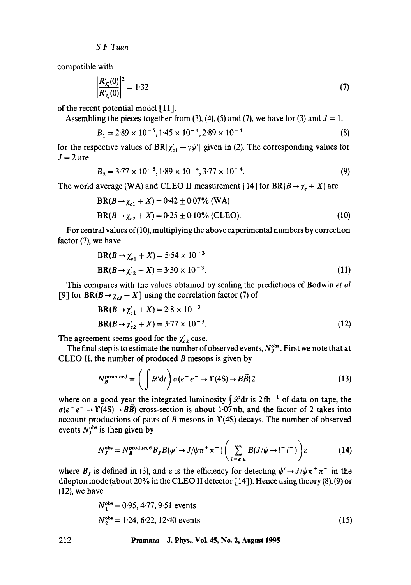*S F Tuan* 

compatible with

$$
\frac{R'_{\chi_{\epsilon}}(0)}{R'_{\chi_{\epsilon}}(0)}\bigg|^{2} = 1.32\tag{7}
$$

of the recent potential model [11].

Assembling the pieces together from (3), (4), (5) and (7), we have for (3) and  $J = 1$ .

$$
B_1 = 2.89 \times 10^{-5}, 1.45 \times 10^{-4}, 2.89 \times 10^{-4}
$$
 (8)

for the respective values of BR $|\chi'_{c1} - \gamma \psi'|$  given in (2). The corresponding values for  $J = 2$  are

$$
B_2 = 3.77 \times 10^{-5}, 1.89 \times 10^{-4}, 3.77 \times 10^{-4}.
$$
 (9)

The world average (WA) and CLEO II measurement [14] for  $BR(B \to \chi_c + X)$  are

$$
BR(B \to \chi_{c1} + X) = 0.42 \pm 0.07\% \text{ (WA)}
$$
  
 
$$
BR(B \to \chi_{c2} + X) = 0.25 \pm 0.10\% \text{ (CLEO)}.
$$
 (10)

For central values of(10), multiplying the above experimental numbers by correction factor (7), we have

$$
BR(B \to \chi_{c1}' + X) = 5.54 \times 10^{-3}
$$
  
\n
$$
BR(B \to \chi_{c2}' + X) = 3.30 \times 10^{-3}.
$$
\n(11)

This compares with the values obtained by scaling the predictions of Bodwin *et al*  [9] for  $BR(B \to \chi_{cJ} + X]$  using the correlation factor (7) of

$$
BR(B \to \chi_{c1}' + X) = 2.8 \times 10^{-3}
$$
  
 
$$
BR(B \to \chi_{c2}' + X) = 3.77 \times 10^{-3}.
$$
 (12)

The agreement seems good for the  $\chi'_{c2}$  case.

The final step is to estimate the number of observed events,  $N_J^{obs}$ . First we note that at CLEO II, the number of produced  $B$  mesons is given by

$$
N_B^{\text{produced}} = \left(\int \mathcal{L} dt\right) \sigma(e^+ e^- \to \Upsilon(4S) \to B\overline{B})2\tag{13}
$$

where on a good year the integrated luminosity  $\int \mathscr{L} dt$  is  $2 fb^{-1}$  of data on tape, the  $\sigma(e^+e^- \rightarrow \Upsilon(4S) \rightarrow BB)$  cross-section is about 1.07 nb, and the factor of 2 takes into account productions of pairs of B mesons in  $\Upsilon$ (4S) decays. The number of observed events  $N_j^{\text{obs}}$  is then given by

$$
N_J^{\text{obs}} = N_B^{\text{produced}} B_J B(\psi' \to J/\psi \pi^+ \pi^-) \left( \sum_{l=e,\mu} B(J/\psi \to l^+ l^-) \right) \varepsilon \tag{14}
$$

where  $B_j$  is defined in (3), and  $\varepsilon$  is the efficiency for detecting  $\psi' \rightarrow J/\psi \pi^+ \pi^-$  in the dilepton mode (about 20% in the CLEO II detector [14]). Hence using theory (8), (9) or (12), we have

$$
N_1^{\text{obs}} = 0.95, 4.77, 9.51 \text{ events}
$$
  
\n
$$
N_2^{\text{obs}} = 1.24, 6.22, 12.40 \text{ events}
$$
 (15)

212 **Pramana - J. Phys., Vol. 45, No. 2, August 1995**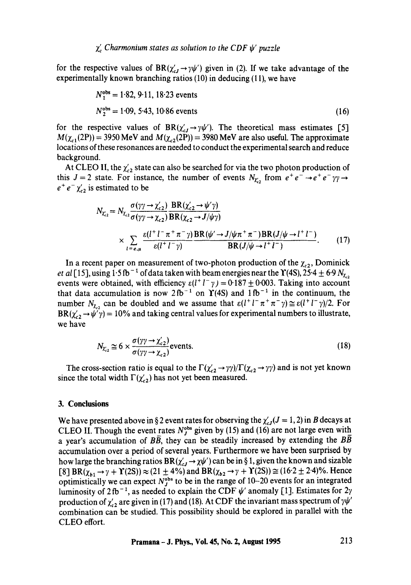for the respective values of  $BR(\chi'_{cJ} \to \gamma \psi')$  given in (2). If we take advantage of the experimentally known branching ratios (10) in deducing (1 I), we have

$$
N_1^{\text{obs}} = 1.82, 9.11, 18.23 \text{ events}
$$
  
\n
$$
N_2^{\text{obs}} = 1.09, 5.43, 10.86 \text{ events}
$$
 (16)

for the respective values of BR $(\chi'_{cf}\to\gamma\psi')$ . The theoretical mass estimates [5]  $M(\chi_{c1}(2P)) = 3950 \text{ MeV}$  and  $M(\chi_{c2}(2P)) = 3980 \text{ MeV}$  are also useful. The approximate locations of these resonances are needed to conduct the experimental search and reduce background.

At CLEO II, the  $\chi'_{c2}$  state can also be searched for via the two photon production of this  $J=2$  state. For instance, the number of events  $N_{\chi}$ , from  $e^+e^- \rightarrow e^+e^-\gamma\gamma \rightarrow$  $e^+e^-\chi'_{c2}$  is estimated to be

$$
N_{\chi_{c2}} = N_{\chi_{c2}} \frac{\sigma(\gamma \gamma \to \chi_{c2}')}{\sigma(\gamma \gamma \to \chi_{c2})} \frac{\text{BR}(\chi_{c2}' \to \psi' \gamma)}{\text{BR}(\chi_{c2} \to J/\psi \gamma)}
$$
  
 
$$
\times \sum_{l = e, \mu} \frac{\varepsilon (l^{+} l^{-} \pi^{+} \pi^{-} \gamma)}{\varepsilon (l^{+} l^{-} \gamma)} \frac{\text{BR}(\psi' \to J/\psi \pi^{+} \pi^{-}) \text{BR}(J/\psi \to l^{+} l^{-})}{\text{BR}(J/\psi \to l^{+} l^{-})}.
$$
 (17)

In a recent paper on measurement of two-photon production of the  $\chi_{c2}$ , Dominick *et al* [15], using 1.5 fb<sup>-1</sup> of data taken with beam energies near the  $\Upsilon$ (4S), 25.4  $\pm$  6.9  $N_{\chi}$ , events were obtained, with efficiency  $\varepsilon(l^+l^-\gamma) = 0.187 \pm 0.003$ . Taking into account that data accumulation is now  $2fb^{-1}$  on  $\Upsilon(4S)$  and  $1fb^{-1}$  in the continuum, the number  $N_{\chi_{c2}}$  can be doubled and we assume that  $\varepsilon(l^+l^-\pi^+\pi^-\gamma) \cong \varepsilon(l^+l^-\gamma)/2$ . For  $BR(\chi'_{c2} \rightarrow \psi' \gamma) = 10\%$  and taking central values for experimental numbers to illustrate, we have

$$
N_{\chi_{c2}} \cong 6 \times \frac{\sigma(\gamma\gamma \to \chi_{c2}^{\prime})}{\sigma(\gamma\gamma \to \chi_{c2})} \text{events.}
$$
 (18)

The cross-section ratio is equal to the  $\Gamma(\chi'_{c2} \to \gamma\gamma)/\Gamma(\chi_{c2} \to \gamma\gamma)$  and is not yet known since the total width  $\Gamma(\chi'_{c2})$  has not yet been measured.

### **3. Conclusions**

We have presented above in § 2 event rates for observing the  $\chi'_{cJ}(J=1, 2)$  in B decays at CLEO II. Though the event rates  $N_J^{\text{obs}}$  given by (15) and (16) are not large even with a year's accumulation of  $B\overline{B}$ , they can be steadily increased by extending the BB accumulation over a period of several years. Furthermore we have been surprised by how large the branching ratios  $BR(\chi'_{cJ} \to \chi \psi')$  can be in § 1, given the known and sizable  $[8] BR(\chi_{b1} \to \gamma + \Upsilon(2S)) \approx (21 \pm 4\%)$  and  $BR(\chi_{b2} \to \gamma + \Upsilon(2S)) \approx (16.2 \pm 2.4)\%$ . Hence optimistically we can expect  $N_J^{\text{obs}}$  to be in the range of 10-20 events for an integrated luminosity of 2 fb<sup>-1</sup>, as needed to explain the CDF  $\psi'$  anomaly [1]. Estimates for 2 $\gamma$ production of  $\chi'_{c2}$  are given in (17) and (18). At CDF the invariant mass spectrum of  $\gamma\psi'$ combination can be studied. This possibility should be explored in parallel with the CLEO effort.